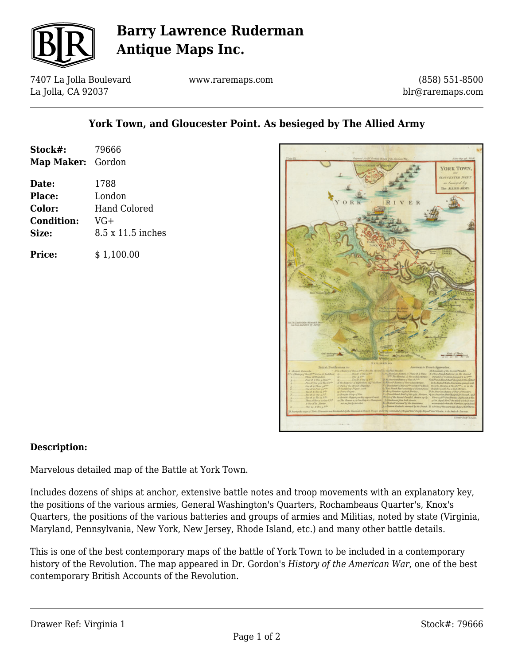

# **Barry Lawrence Ruderman Antique Maps Inc.**

7407 La Jolla Boulevard La Jolla, CA 92037

www.raremaps.com

(858) 551-8500 blr@raremaps.com

### **York Town, and Gloucester Point. As besieged by The Allied Army**

| Stock#:<br>Map Maker: Gordon | 79666               |
|------------------------------|---------------------|
| Date:                        | 1788                |
| <b>Place:</b>                | London              |
| Color:                       | <b>Hand Colored</b> |
| <b>Condition:</b>            | VG+                 |
| Size:                        | 8.5 x 11.5 inches   |
| <b>Price:</b>                | \$1,100.00          |



#### **Description:**

Marvelous detailed map of the Battle at York Town.

Includes dozens of ships at anchor, extensive battle notes and troop movements with an explanatory key, the positions of the various armies, General Washington's Quarters, Rochambeaus Quarter's, Knox's Quarters, the positions of the various batteries and groups of armies and Militias, noted by state (Virginia, Maryland, Pennsylvania, New York, New Jersey, Rhode Island, etc.) and many other battle details.

This is one of the best contemporary maps of the battle of York Town to be included in a contemporary history of the Revolution. The map appeared in Dr. Gordon's *History of the American War*, one of the best contemporary British Accounts of the Revolution.